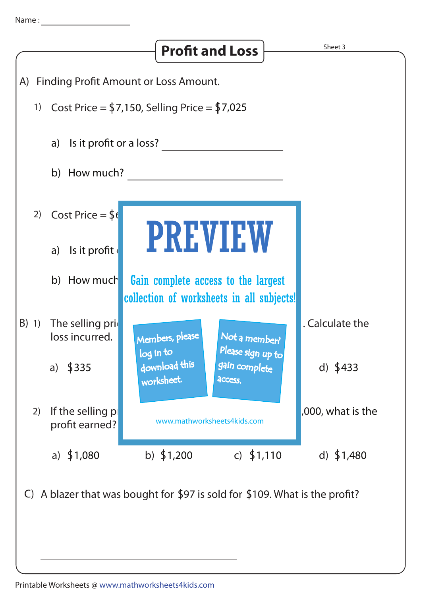